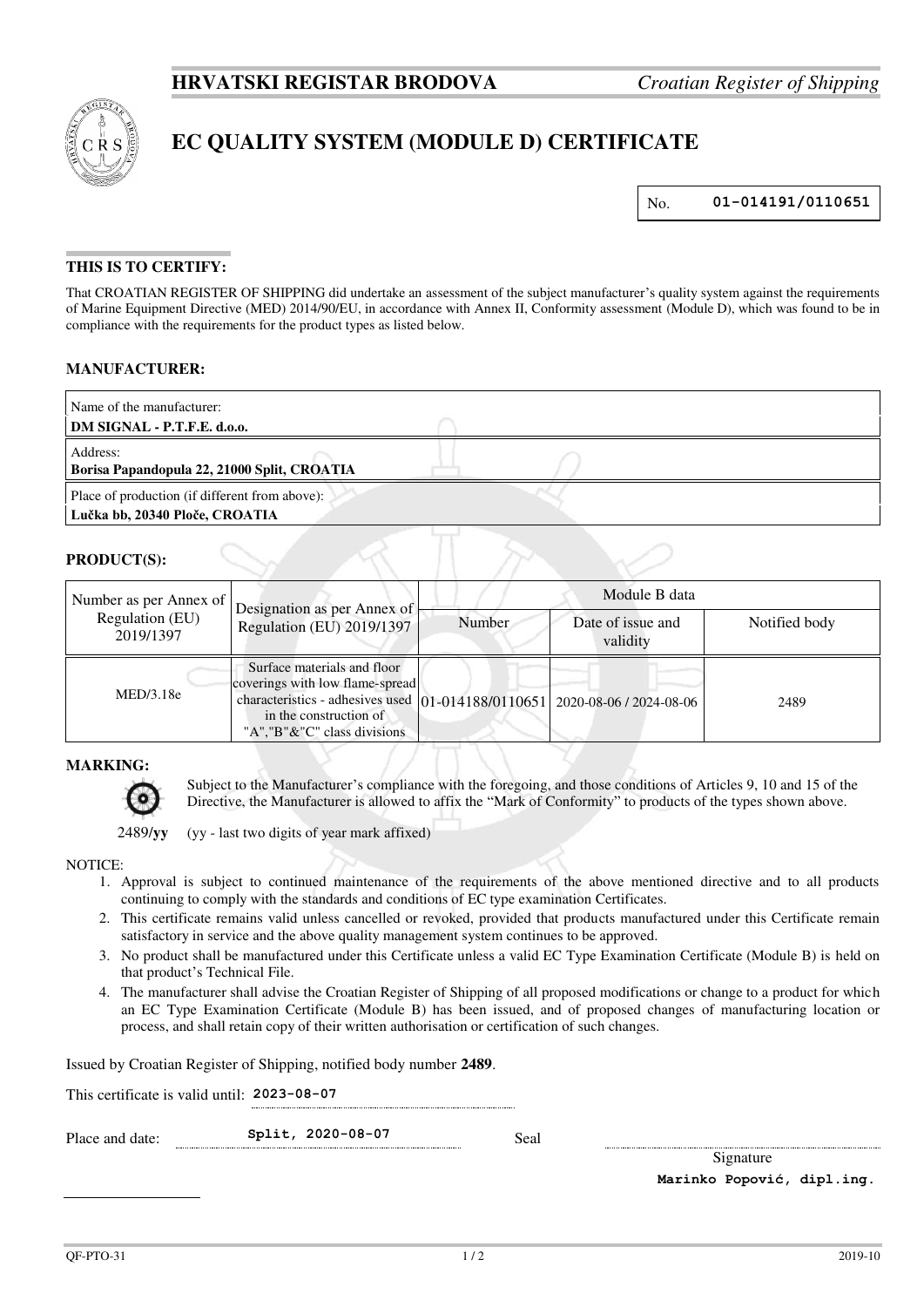

# **EC QUALITY SYSTEM (MODULE D) CERTIFICATE**

No. **01-014191/0110651**

## **THIS IS TO CERTIFY:**

That CROATIAN REGISTER OF SHIPPING did undertake an assessment of the subject manufacturer's quality system against the requirements of Marine Equipment Directive (MED) 2014/90/EU, in accordance with Annex II, Conformity assessment (Module D), which was found to be in compliance with the requirements for the product types as listed below.

## **MANUFACTURER:**

| Name of the manufacturer:<br>DM SIGNAL - P.T.F.E. d.o.o. |  |  |
|----------------------------------------------------------|--|--|
|                                                          |  |  |
| Address:                                                 |  |  |
| Borisa Papandopula 22, 21000 Split, CROATIA              |  |  |
| Place of production (if different from above):           |  |  |
| Lučka bb, 20340 Ploče, CROATIA                           |  |  |

#### **PRODUCT(S):**

| Number as per Annex of       | Designation as per Annex of<br>Regulation (EU) 2019/1397                                                                                                                                               | Module B data |                               |               |
|------------------------------|--------------------------------------------------------------------------------------------------------------------------------------------------------------------------------------------------------|---------------|-------------------------------|---------------|
| Regulation (EU)<br>2019/1397 |                                                                                                                                                                                                        | Number        | Date of issue and<br>validity | Notified body |
| MED/3.18e                    | Surface materials and floor<br>coverings with low flame-spread<br>characteristics - adhesives used 01-014188/0110651 2020-08-06 / 2024-08-06<br>in the construction of<br>"A", "B"&"C" class divisions |               |                               | 2489          |

## **MARKING:**



Subject to the Manufacturer's compliance with the foregoing, and those conditions of Articles 9, 10 and 15 of the Directive, the Manufacturer is allowed to affix the "Mark of Conformity" to products of the types shown above.

2489/**yy** (yy - last two digits of year mark affixed)

## NOTICE:

- 1. Approval is subject to continued maintenance of the requirements of the above mentioned directive and to all products continuing to comply with the standards and conditions of EC type examination Certificates.
- 2. This certificate remains valid unless cancelled or revoked, provided that products manufactured under this Certificate remain satisfactory in service and the above quality management system continues to be approved.
- 3. No product shall be manufactured under this Certificate unless a valid EC Type Examination Certificate (Module B) is held on that product's Technical File.
- 4. The manufacturer shall advise the Croatian Register of Shipping of all proposed modifications or change to a product for which an EC Type Examination Certificate (Module B) has been issued, and of proposed changes of manufacturing location or process, and shall retain copy of their written authorisation or certification of such changes.

Issued by Croatian Register of Shipping, notified body number **2489**.

This certificate is valid until: **2023-08-07** 

Place and date: **Split, 2020-08-07** Seal

Signature **Marinko Popović, dipl.ing.**

 $QF-PTO-31$  2019-10